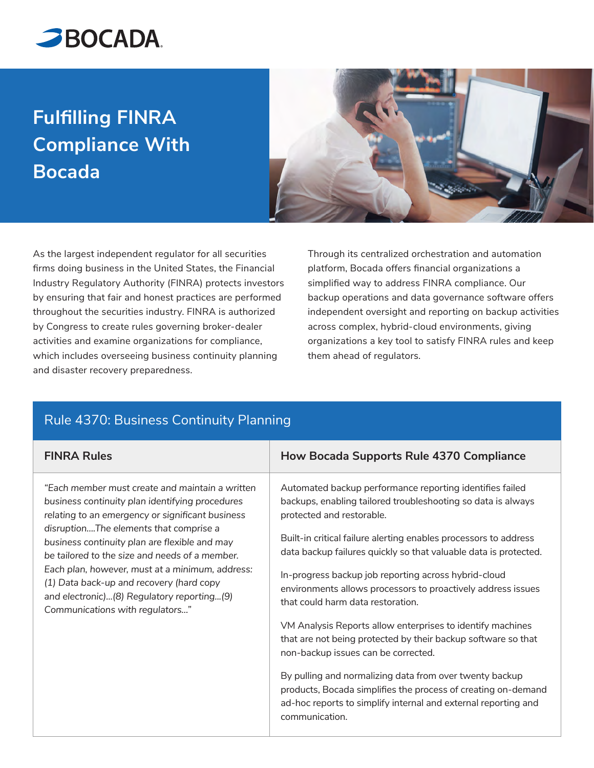

## **Fulfilling FINRA Compliance With Bocada**



As the largest independent regulator for all securities firms doing business in the United States, the Financial Industry Regulatory Authority (FINRA) protects investors by ensuring that fair and honest practices are performed throughout the securities industry. FINRA is authorized by Congress to create rules governing broker-dealer activities and examine organizations for compliance, which includes overseeing business continuity planning and disaster recovery preparedness.

Through its centralized orchestration and automation platform, Bocada offers financial organizations a simplified way to address FINRA compliance. Our backup operations and data governance software offers independent oversight and reporting on backup activities across complex, hybrid-cloud environments, giving organizations a key tool to satisfy FINRA rules and keep them ahead of regulators.

| <b>FINRA Rules</b>                                                                                                                                                                                                                                                                                                                                                                                                                                                                  | How Bocada Supports Rule 4370 Compliance                                                                                                                                                                                      |
|-------------------------------------------------------------------------------------------------------------------------------------------------------------------------------------------------------------------------------------------------------------------------------------------------------------------------------------------------------------------------------------------------------------------------------------------------------------------------------------|-------------------------------------------------------------------------------------------------------------------------------------------------------------------------------------------------------------------------------|
| "Each member must create and maintain a written<br>business continuity plan identifying procedures<br>relating to an emergency or significant business<br>disruptionThe elements that comprise a<br>business continuity plan are flexible and may<br>be tailored to the size and needs of a member.<br>Each plan, however, must at a minimum, address:<br>(1) Data back-up and recovery (hard copy<br>and electronic)(8) Regulatory reporting(9)<br>Communications with regulators" | Automated backup performance reporting identifies failed<br>backups, enabling tailored troubleshooting so data is always<br>protected and restorable.<br>Built-in critical failure alerting enables processors to address     |
|                                                                                                                                                                                                                                                                                                                                                                                                                                                                                     | data backup failures quickly so that valuable data is protected.<br>In-progress backup job reporting across hybrid-cloud<br>environments allows processors to proactively address issues<br>that could harm data restoration. |
|                                                                                                                                                                                                                                                                                                                                                                                                                                                                                     | VM Analysis Reports allow enterprises to identify machines<br>that are not being protected by their backup software so that<br>non-backup issues can be corrected.                                                            |
|                                                                                                                                                                                                                                                                                                                                                                                                                                                                                     | By pulling and normalizing data from over twenty backup<br>products, Bocada simplifies the process of creating on-demand<br>ad-hoc reports to simplify internal and external reporting and<br>communication.                  |

## Rule 4370: Business Continuity Planning